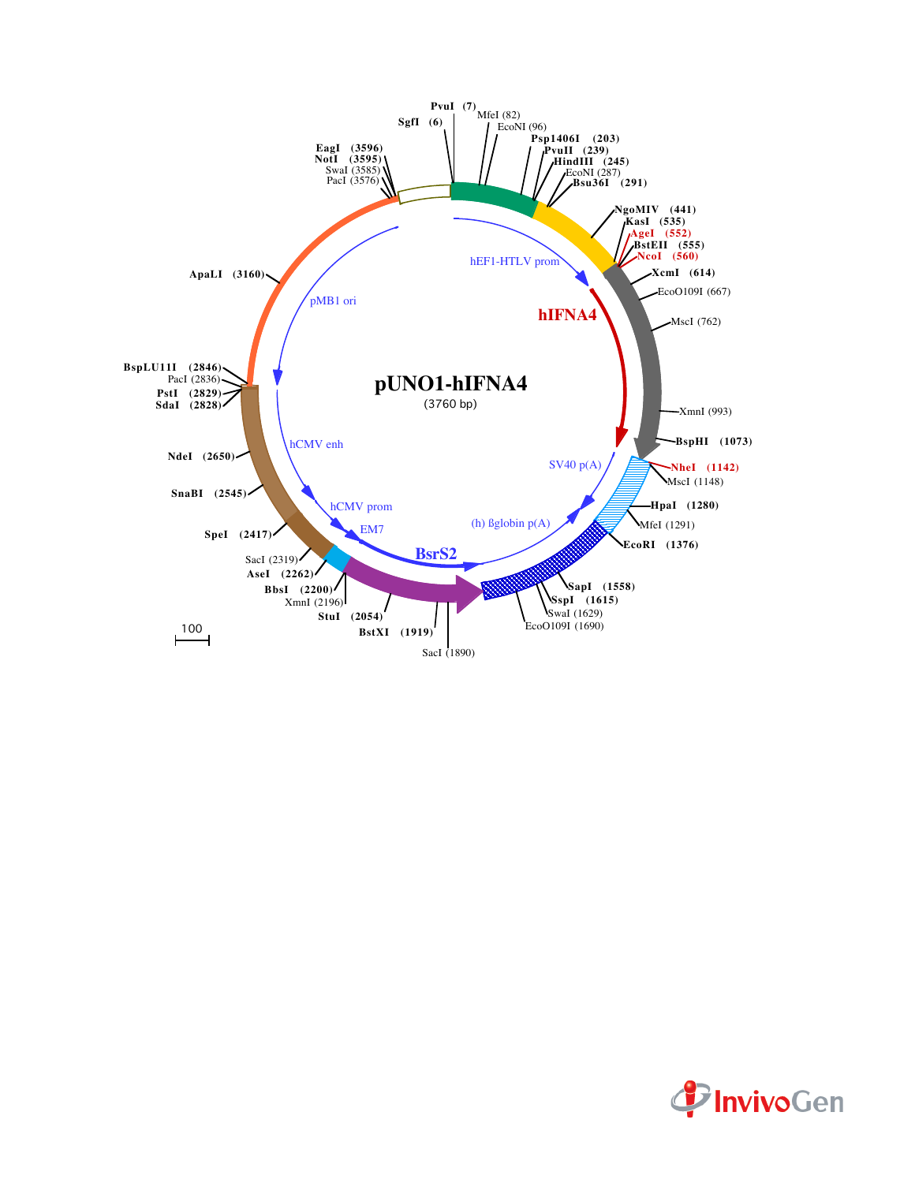

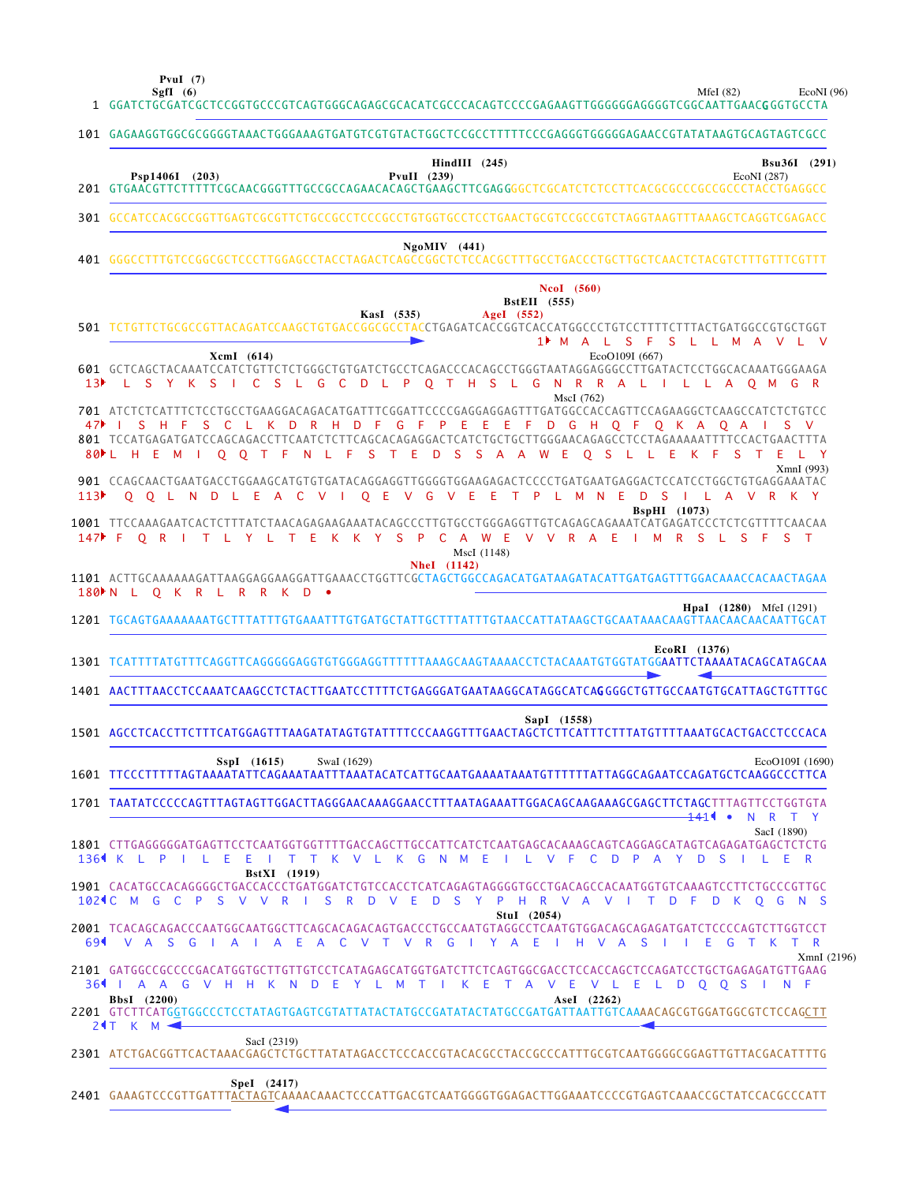**PvuI (7)**

MfeI (82) EcoNI (96)

|                  | EcoNI(96)<br>Sgfl (6)<br>MfeI $(82)$<br>1 GGATCTGCGATCGCTCCGGTGCCCGTCAGTGGGCAGAGCGCACATCGCCCACAGTCCCCGAGAAGTTGGGGGGAGGGTCGGCAATTGAAC <b>G</b> GGTGCCTA                                                                                                                                                                                                            |  |
|------------------|-------------------------------------------------------------------------------------------------------------------------------------------------------------------------------------------------------------------------------------------------------------------------------------------------------------------------------------------------------------------|--|
|                  | 101 GAGAAGGTGGCGCGGGGTAAACTGGGAAAGTGATGTCGTGTACTGGCTCCGCCTTTTTCCCGAGGGTGGGGGAACCGTATATAAGTGCAGTAGTCGCC                                                                                                                                                                                                                                                            |  |
|                  | $\textbf{HindIII}$ (245)<br>Bsu36I (291)<br>Psp1406I (203)<br>PvuII $(239)$<br>EcoNI (287)                                                                                                                                                                                                                                                                        |  |
|                  | 301 GCCATCCACGCCGGTTGAGTCGCGTTCTGCCGCCTCCCGCCTGTGGTGCCTCCTGAACTGCGTCCGCCGTCTAGGTAAGTTTAAAGCTCAGGTCGAGACC                                                                                                                                                                                                                                                          |  |
|                  | $NgoMIV$ (441)                                                                                                                                                                                                                                                                                                                                                    |  |
|                  | <b>NcoI</b> (560)<br><b>BstEII</b> (555)<br>KasI (535)<br>AgeI (552)<br>501 TCTGTTCTGCGCCGTTACAGATCCAAGCTGTGACCGGCGCCTACCTGAGATCACCGGTCACCATGGCCCTGTCCTTTTCTTTACTGATGGCCGTGCTGGT<br>1 M A L S F S L L M A V L V                                                                                                                                                   |  |
| 13▶              | EcoO109I (667)<br>XcmI (614)<br>601 GCTCAGCTACAAATCCATCTGTTCTCTGGGCTGTGATCTGCCTCAGACCCACAGCCTGGGTAATAGGAGGCCTTGATACTCCTGGCACAAATGGGAAGA<br>L S Y K S I C S L G C D L P O T H S L G N R R A L I L L A O M G R<br>MscI (762)                                                                                                                                        |  |
|                  | 701 ATCTCTCATTTCTCCTGCCTGAAGGACAGACATGATTTCGGATTCCCCGAGGAGGAGTTTGATGGCCACCAGTTCCAGAAGGCTCAAGCCATCTCTGTCC<br>47 SHF SCL K D R H D F G F P E E E F D G H Q F Q K A Q A I S V<br>801 TCCATGAGATGATCCAGCAGACCTTCAATCTCTTCAGCACAGAGGACTCATCTGCTGCTTGGGAACAGCCTCCTAGAAAAATTTTCCACTGAACTTTA<br>O O T F N L F S T E D S S A A W E O S L L E K F S T E L Y<br>80 E H E M I |  |
| 113 <sup>2</sup> | XmnI (993)<br>O O L N D L E A C V I O E V G V E E T P L M N E D S I L A V R K Y                                                                                                                                                                                                                                                                                   |  |
|                  | <b>BspHI</b> (1073)<br>1001 TTCCAAAGAATCACTCTTTATCTAACAGAGAAGAAATACAGCCCTTGTGCCTGGGAGGTTGTCAGAGCAGAAATCATGAGATCCCTCTCTCGTTTTCAACAA<br>147 FORITLY LTEKKY SPCAWEV VRAEIM RSL SFST<br>MscI (1148)                                                                                                                                                                   |  |
|                  | <b>NheI</b> (1142)<br>1101 ACTTGCAAAAAAGATTAAGGAGGAAGGATTGAAACCTGGTTCGCTAGCTGGCCAGACATGATAAGATACATTGATGAGTTTGGACAAACCACAACTAGAA<br>180 N L O K R L R R K D .                                                                                                                                                                                                      |  |
|                  | <b>HpaI</b> (1280) MfeI (1291)<br>1201 TGCAGTGAAAAAAATGCTTTATTTGTGAAATTTGTGATGCTATTGCTTTATTTGTAACCATTATAAGCTGCAATAAACAAGTTAACAACAACAATTGCAT                                                                                                                                                                                                                       |  |
|                  |                                                                                                                                                                                                                                                                                                                                                                   |  |
|                  | EcoRI (1376)<br>1301 TCATTTTATGTTTCAGGTTCAGGGGGAGGTGTGGGAGGTTTTTTTAAAGCAAGTAAAACCTCTACAAATGTGGTATGGAATTCTAAAATACAGCATAGCAA                                                                                                                                                                                                                                        |  |
|                  | 1401 AACTTTAACCTCCAAATCAAGCCTCTACTTGAATCCTTTTCTGAGGGATGAATAAGGCATAGGCATCAGGGGCTGTTGCCAATGTGCATTAGCTGTTTGC                                                                                                                                                                                                                                                         |  |
|                  | SapI (1558)<br>1501 AGCCTCACCTTCTTTCATGGAGTTTAAGATATAGTGTATTTTCCCAAGGTTTGAACTAGCTCTTCATTTCTTTATGTTTTAAATGCACTGACCTCCCACA                                                                                                                                                                                                                                          |  |
|                  | $SspI$ (1615)<br>SwaI (1629)<br>EcoO109I (1690)                                                                                                                                                                                                                                                                                                                   |  |
|                  | 1701 TAATATCCCCCAGTTTAGTAGTTGGACTTAGGGAACAAAGGAACCTTTAATAGAAATTGGACAGCAAGAAAGCGAGCTTCTAGCTTTAGTTCCTGGTGTA<br><del>14</del> 11 •<br>N R T Y                                                                                                                                                                                                                        |  |
|                  | SacI (1890)<br>1801 CTTGAGGGGGATGAGTTCCTCAATGGTGGTTTTGACCAGCTTGCCATTCATCTCAATGAGCACAAAGCAGTCAGGAGCATAGTCAGAGATGAGCTCTCTG<br>1364 K L P I L E E I T T K V L K G N M E I L V F C D P A Y D S                                                                                                                                                                        |  |
|                  | BstXI (1919)<br>1901 CACATGCCACAGGGGCTGACCACCCTGATGGATCTGTCCACCTCATCAGAGTAGGGGTGCCTGACAGCCACAATGGTGTCAAAGTCCTTCTGCCCGTTGC<br>102 C M G C P S V V R I S R D V E D S Y P H R V A V I T D F D K O G N S<br>Stul (2054)                                                                                                                                               |  |
|                  | 2001 TCACAGCAGACCCAATGGCAATGGCTTCAGCACAGACAGTGACCCTGCCAATGTAGGCCTCAATGTGGACAGCAGAGATGATCTCCCCAGTCTTGGTCCT<br>69 VAS GIAIA E A C V T V R G I Y A E I H V A S I I E G T K T R                                                                                                                                                                                       |  |
|                  | XmnI(2196)<br>2101 GATGGCCGCCCCGACATGGTGCTTGTTGTCCTCATAGAGCATGGTGATCTTCTCAGTGGCGACCTCCACCAGCTCCAGATCCTGCTGAGAGATGTTGAAG<br>361   A A G V H H K N D E Y L M T I K E T A V E V L E L D O O S I N F<br>BbsI (2200)<br>AseI (2262)<br>2201 GTCTTCATGGTGGCCCTCCTATAGTGAGTCGTATTATACTATGCCGATATACTATGCCGATGATTAATTGTCAAAACAGCGTGGATGGCGTCTCCAGCTT                       |  |
|                  | 24T K M $\blacktriangleleft$<br>SacI (2319)<br>2301 ATCTGACGGTTCACTAAACGAGCTCTGCTTATATAGACCTCCCACCGTACACGCCTACCGCCCATTTGCGTCAATGGGGCGGAGTTGTTACGACATTTTG                                                                                                                                                                                                          |  |

GAAAGTCCCGTTGATTTACTAGTCAAAACAAACTCCCATTGACGTCAATGGGGTGGAGACTTGGAAATCCCCGTGAGTCAAACCGCTATCCACGCCCATT 2401